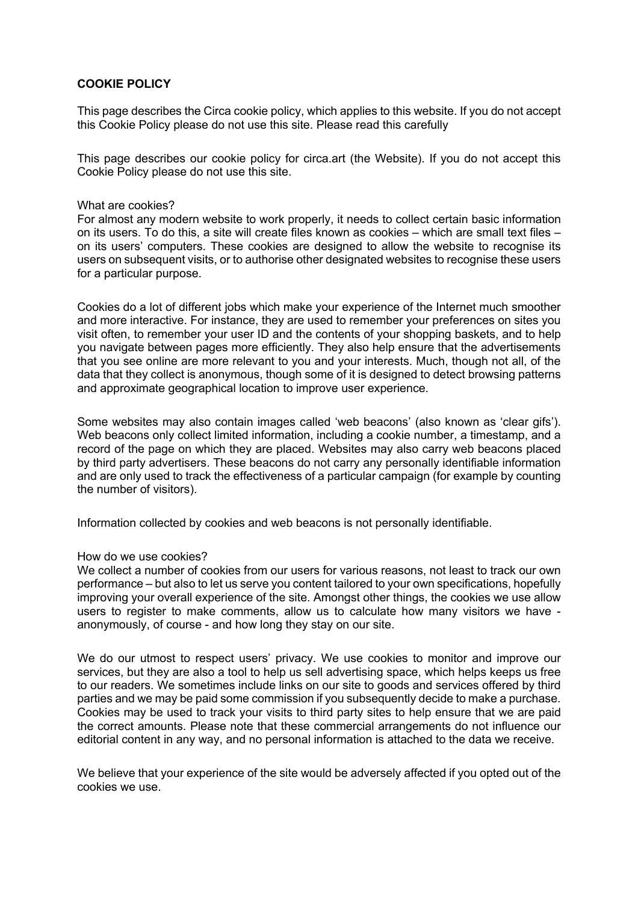## **COOKIE POLICY**

This page describes the Circa cookie policy, which applies to this website. If you do not accept this Cookie Policy please do not use this site. Please read this carefully

This page describes our cookie policy for circa.art (the Website). If you do not accept this Cookie Policy please do not use this site.

## What are cookies?

For almost any modern website to work properly, it needs to collect certain basic information on its users. To do this, a site will create files known as cookies – which are small text files – on its users' computers. These cookies are designed to allow the website to recognise its users on subsequent visits, or to authorise other designated websites to recognise these users for a particular purpose.

Cookies do a lot of different jobs which make your experience of the Internet much smoother and more interactive. For instance, they are used to remember your preferences on sites you visit often, to remember your user ID and the contents of your shopping baskets, and to help you navigate between pages more efficiently. They also help ensure that the advertisements that you see online are more relevant to you and your interests. Much, though not all, of the data that they collect is anonymous, though some of it is designed to detect browsing patterns and approximate geographical location to improve user experience.

Some websites may also contain images called 'web beacons' (also known as 'clear gifs'). Web beacons only collect limited information, including a cookie number, a timestamp, and a record of the page on which they are placed. Websites may also carry web beacons placed by third party advertisers. These beacons do not carry any personally identifiable information and are only used to track the effectiveness of a particular campaign (for example by counting the number of visitors).

Information collected by cookies and web beacons is not personally identifiable.

## How do we use cookies?

We collect a number of cookies from our users for various reasons, not least to track our own performance – but also to let us serve you content tailored to your own specifications, hopefully improving your overall experience of the site. Amongst other things, the cookies we use allow users to register to make comments, allow us to calculate how many visitors we have anonymously, of course - and how long they stay on our site.

We do our utmost to respect users' privacy. We use cookies to monitor and improve our services, but they are also a tool to help us sell advertising space, which helps keeps us free to our readers. We sometimes include links on our site to goods and services offered by third parties and we may be paid some commission if you subsequently decide to make a purchase. Cookies may be used to track your visits to third party sites to help ensure that we are paid the correct amounts. Please note that these commercial arrangements do not influence our editorial content in any way, and no personal information is attached to the data we receive.

We believe that your experience of the site would be adversely affected if you opted out of the cookies we use.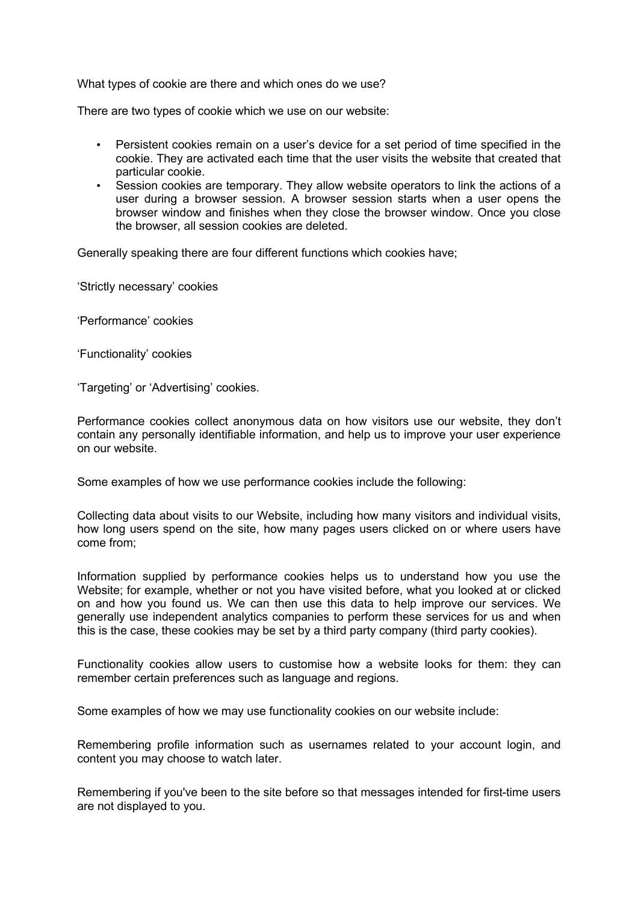What types of cookie are there and which ones do we use?

There are two types of cookie which we use on our website:

- Persistent cookies remain on a user's device for a set period of time specified in the cookie. They are activated each time that the user visits the website that created that particular cookie.
- Session cookies are temporary. They allow website operators to link the actions of a user during a browser session. A browser session starts when a user opens the browser window and finishes when they close the browser window. Once you close the browser, all session cookies are deleted.

Generally speaking there are four different functions which cookies have;

'Strictly necessary' cookies

'Performance' cookies

'Functionality' cookies

'Targeting' or 'Advertising' cookies.

Performance cookies collect anonymous data on how visitors use our website, they don't contain any personally identifiable information, and help us to improve your user experience on our website.

Some examples of how we use performance cookies include the following:

Collecting data about visits to our Website, including how many visitors and individual visits, how long users spend on the site, how many pages users clicked on or where users have come from;

Information supplied by performance cookies helps us to understand how you use the Website; for example, whether or not you have visited before, what you looked at or clicked on and how you found us. We can then use this data to help improve our services. We generally use independent analytics companies to perform these services for us and when this is the case, these cookies may be set by a third party company (third party cookies).

Functionality cookies allow users to customise how a website looks for them: they can remember certain preferences such as language and regions.

Some examples of how we may use functionality cookies on our website include:

Remembering profile information such as usernames related to your account login, and content you may choose to watch later.

Remembering if you've been to the site before so that messages intended for first-time users are not displayed to you.